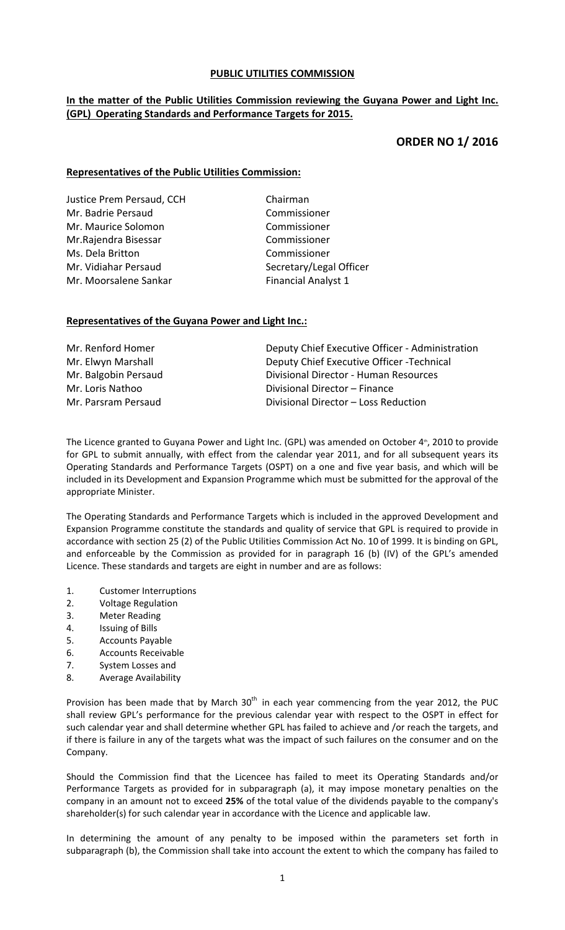# **PUBLIC UTILITIES COMMISSION**

# **In the matter of the Public Utilities Commission reviewing the Guyana Power and Light Inc. (GPL) Operating Standards and Performance Targets for 2015.**

# **ORDER NO 1/ 2016**

# **Representatives of the Public Utilities Commission:**

Justice Prem Persaud, CCH Chairman Mr. Badrie Persaud **Commissioner** Mr. Maurice Solomon **Commissioner** Mr.Rajendra Bisessar Commissioner Ms. Dela Britton **Commissioner** Mr. Vidiahar Persaud Secretary/Legal Officer Mr. Moorsalene Sankar **Brankar Financial Analyst 1** 

#### **Representatives of the Guyana Power and Light Inc.:**

| Mr. Renford Homer    | Deputy Chief Executive Officer - Administration |
|----------------------|-------------------------------------------------|
| Mr. Elwyn Marshall   | Deputy Chief Executive Officer - Technical      |
| Mr. Balgobin Persaud | Divisional Director - Human Resources           |
| Mr. Loris Nathoo     | Divisional Director - Finance                   |
| Mr. Parsram Persaud  | Divisional Director - Loss Reduction            |

The Licence granted to Guyana Power and Light Inc. (GPL) was amended on October 4<sup>th</sup>, 2010 to provide for GPL to submit annually, with effect from the calendar year 2011, and for all subsequent years its Operating Standards and Performance Targets (OSPT) on a one and five year basis, and which will be included in its Development and Expansion Programme which must be submitted for the approval of the appropriate Minister.

The Operating Standards and Performance Targets which is included in the approved Development and Expansion Programme constitute the standards and quality of service that GPL is required to provide in accordance with section 25 (2) of the Public Utilities Commission Act No. 10 of 1999. It is binding on GPL, and enforceable by the Commission as provided for in paragraph 16 (b) (IV) of the GPL's amended Licence. These standards and targets are eight in number and are as follows:

- 1. Customer Interruptions
- 2. Voltage Regulation
- 3. Meter Reading
- 4. Issuing of Bills
- 5. Accounts Payable
- 6. Accounts Receivable
- 7. System Losses and
- 8. Average Availability

Provision has been made that by March  $30<sup>th</sup>$  in each year commencing from the year 2012, the PUC shall review GPL's performance for the previous calendar year with respect to the OSPT in effect for such calendar year and shall determine whether GPL has failed to achieve and /or reach the targets, and if there is failure in any of the targets what was the impact of such failures on the consumer and on the Company.

Should the Commission find that the Licencee has failed to meet its Operating Standards and/or Performance Targets as provided for in subparagraph (a), it may impose monetary penalties on the company in an amount not to exceed **25%** of the total value of the dividends payable to the company's shareholder(s) for such calendar year in accordance with the Licence and applicable law.

In determining the amount of any penalty to be imposed within the parameters set forth in subparagraph (b), the Commission shall take into account the extent to which the company has failed to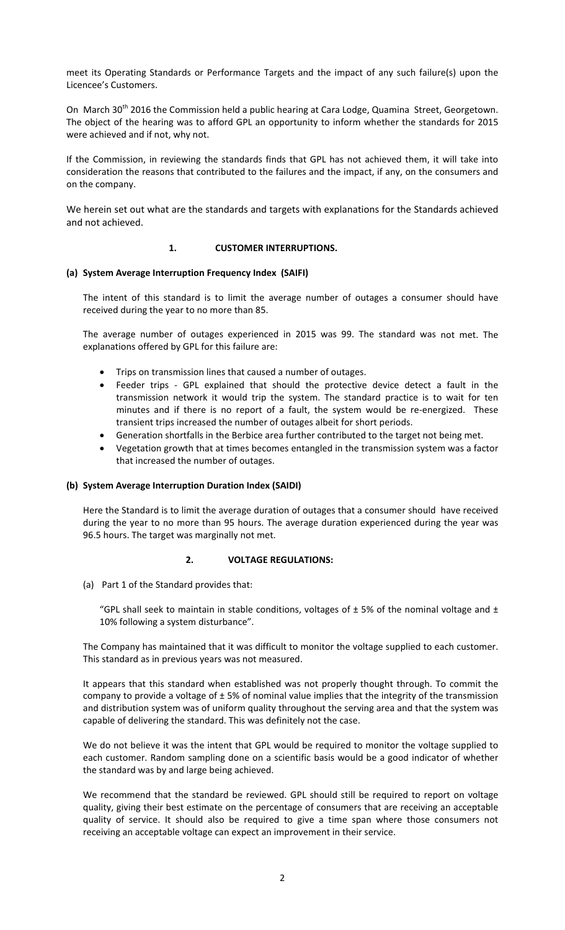meet its Operating Standards or Performance Targets and the impact of any such failure(s) upon the Licencee's Customers.

On March 30<sup>th</sup> 2016 the Commission held a public hearing at Cara Lodge, Quamina Street, Georgetown. The object of the hearing was to afford GPL an opportunity to inform whether the standards for 2015 were achieved and if not, why not.

If the Commission, in reviewing the standards finds that GPL has not achieved them, it will take into consideration the reasons that contributed to the failures and the impact, if any, on the consumers and on the company.

We herein set out what are the standards and targets with explanations for the Standards achieved and not achieved.

# **1. CUSTOMER INTERRUPTIONS.**

#### **(a) System Average Interruption Frequency Index (SAIFI)**

The intent of this standard is to limit the average number of outages a consumer should have received during the year to no more than 85.

The average number of outages experienced in 2015 was 99. The standard was not met. The explanations offered by GPL for this failure are:

- Trips on transmission lines that caused a number of outages.
- Feeder trips GPL explained that should the protective device detect a fault in the transmission network it would trip the system. The standard practice is to wait for ten minutes and if there is no report of a fault, the system would be re-energized. These transient trips increased the number of outages albeit for short periods.
- Generation shortfalls in the Berbice area further contributed to the target not being met.
- Vegetation growth that at times becomes entangled in the transmission system was a factor that increased the number of outages.

#### **(b) System Average Interruption Duration Index (SAIDI)**

Here the Standard is to limit the average duration of outages that a consumer should have received during the year to no more than 95 hours. The average duration experienced during the year was 96.5 hours. The target was marginally not met.

#### **2. VOLTAGE REGULATIONS:**

(a) Part 1 of the Standard provides that:

"GPL shall seek to maintain in stable conditions, voltages of  $\pm$  5% of the nominal voltage and  $\pm$ 10% following a system disturbance".

The Company has maintained that it was difficult to monitor the voltage supplied to each customer. This standard as in previous years was not measured.

It appears that this standard when established was not properly thought through. To commit the company to provide a voltage of  $\pm$  5% of nominal value implies that the integrity of the transmission and distribution system was of uniform quality throughout the serving area and that the system was capable of delivering the standard. This was definitely not the case.

We do not believe it was the intent that GPL would be required to monitor the voltage supplied to each customer. Random sampling done on a scientific basis would be a good indicator of whether the standard was by and large being achieved.

We recommend that the standard be reviewed. GPL should still be required to report on voltage quality, giving their best estimate on the percentage of consumers that are receiving an acceptable quality of service. It should also be required to give a time span where those consumers not receiving an acceptable voltage can expect an improvement in their service.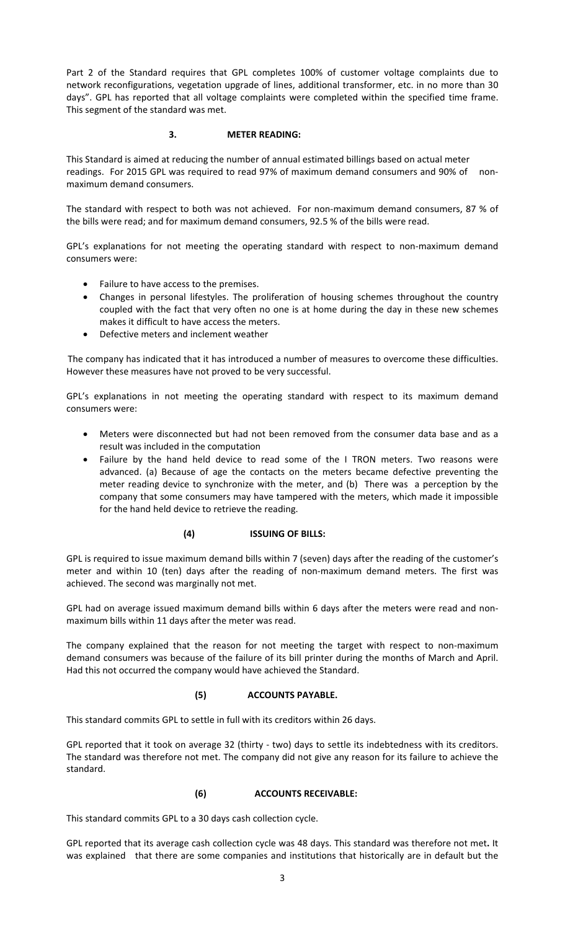Part 2 of the Standard requires that GPL completes 100% of customer voltage complaints due to network reconfigurations, vegetation upgrade of lines, additional transformer, etc. in no more than 30 days". GPL has reported that all voltage complaints were completed within the specified time frame. This segment of the standard was met.

# **3. METER READING:**

This Standard is aimed at reducing the number of annual estimated billings based on actual meter readings. For 2015 GPL was required to read 97% of maximum demand consumers and 90% of nonmaximum demand consumers.

The standard with respect to both was not achieved. For non‐maximum demand consumers, 87 % of the bills were read; and for maximum demand consumers, 92.5 % of the bills were read.

GPL's explanations for not meeting the operating standard with respect to non-maximum demand consumers were:

- Failure to have access to the premises.
- Changes in personal lifestyles. The proliferation of housing schemes throughout the country coupled with the fact that very often no one is at home during the day in these new schemes makes it difficult to have access the meters.
- Defective meters and inclement weather

The company has indicated that it has introduced a number of measures to overcome these difficulties. However these measures have not proved to be very successful.

GPL's explanations in not meeting the operating standard with respect to its maximum demand consumers were:

- Meters were disconnected but had not been removed from the consumer data base and as a result was included in the computation
- Failure by the hand held device to read some of the I TRON meters. Two reasons were advanced. (a) Because of age the contacts on the meters became defective preventing the meter reading device to synchronize with the meter, and (b) There was a perception by the company that some consumers may have tampered with the meters, which made it impossible for the hand held device to retrieve the reading.

#### **(4) ISSUING OF BILLS:**

GPL is required to issue maximum demand bills within 7 (seven) days after the reading of the customer's meter and within 10 (ten) days after the reading of non-maximum demand meters. The first was achieved. The second was marginally not met.

GPL had on average issued maximum demand bills within 6 days after the meters were read and non‐ maximum bills within 11 days after the meter was read.

The company explained that the reason for not meeting the target with respect to non-maximum demand consumers was because of the failure of its bill printer during the months of March and April. Had this not occurred the company would have achieved the Standard.

### **(5) ACCOUNTS PAYABLE.**

This standard commits GPL to settle in full with its creditors within 26 days.

GPL reported that it took on average 32 (thirty - two) days to settle its indebtedness with its creditors. The standard was therefore not met. The company did not give any reason for its failure to achieve the standard.

#### **(6) ACCOUNTS RECEIVABLE:**

This standard commits GPL to a 30 days cash collection cycle.

GPL reported that its average cash collection cycle was 48 days. This standard was therefore not met**.** It was explained that there are some companies and institutions that historically are in default but the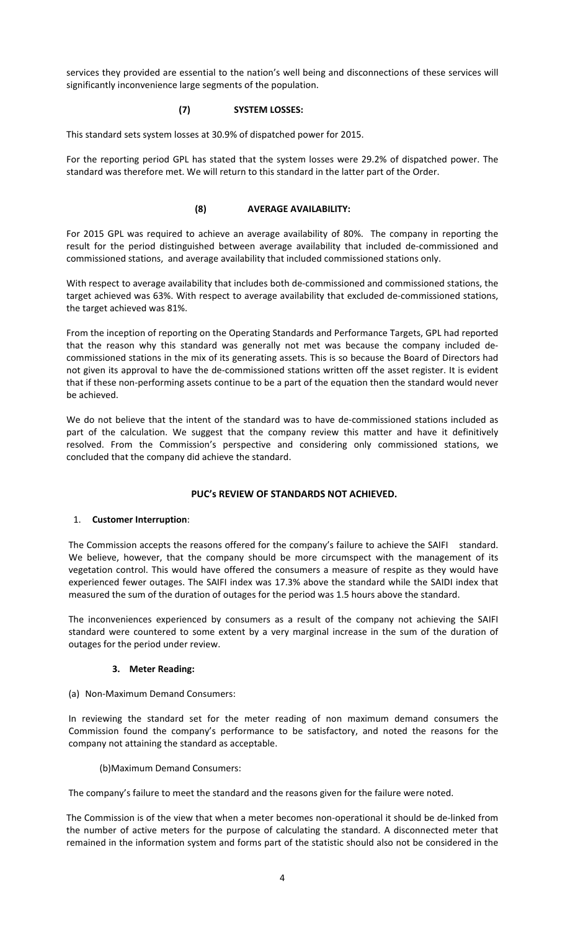services they provided are essential to the nation's well being and disconnections of these services will significantly inconvenience large segments of the population.

### **(7) SYSTEM LOSSES:**

This standard sets system losses at 30.9% of dispatched power for 2015.

For the reporting period GPL has stated that the system losses were 29.2% of dispatched power. The standard was therefore met. We will return to this standard in the latter part of the Order.

# **(8) AVERAGE AVAILABILITY:**

For 2015 GPL was required to achieve an average availability of 80%. The company in reporting the result for the period distinguished between average availability that included de‐commissioned and commissioned stations, and average availability that included commissioned stations only.

With respect to average availability that includes both de‐commissioned and commissioned stations, the target achieved was 63%. With respect to average availability that excluded de‐commissioned stations, the target achieved was 81%.

From the inception of reporting on the Operating Standards and Performance Targets, GPL had reported that the reason why this standard was generally not met was because the company included de‐ commissioned stations in the mix of its generating assets. This is so because the Board of Directors had not given its approval to have the de‐commissioned stations written off the asset register. It is evident that if these non‐performing assets continue to be a part of the equation then the standard would never be achieved.

We do not believe that the intent of the standard was to have de-commissioned stations included as part of the calculation. We suggest that the company review this matter and have it definitively resolved. From the Commission's perspective and considering only commissioned stations, we concluded that the company did achieve the standard.

# **PUC's REVIEW OF STANDARDS NOT ACHIEVED.**

#### 1. **Customer Interruption**:

The Commission accepts the reasons offered for the company's failure to achieve the SAIFI standard. We believe, however, that the company should be more circumspect with the management of its vegetation control. This would have offered the consumers a measure of respite as they would have experienced fewer outages. The SAIFI index was 17.3% above the standard while the SAIDI index that measured the sum of the duration of outages for the period was 1.5 hours above the standard.

The inconveniences experienced by consumers as a result of the company not achieving the SAIFI standard were countered to some extent by a very marginal increase in the sum of the duration of outages for the period under review.

#### **3. Meter Reading:**

(a) Non‐Maximum Demand Consumers:

In reviewing the standard set for the meter reading of non maximum demand consumers the Commission found the company's performance to be satisfactory, and noted the reasons for the company not attaining the standard as acceptable.

#### (b)Maximum Demand Consumers:

The company's failure to meet the standard and the reasons given for the failure were noted.

The Commission is of the view that when a meter becomes non‐operational it should be de‐linked from the number of active meters for the purpose of calculating the standard. A disconnected meter that remained in the information system and forms part of the statistic should also not be considered in the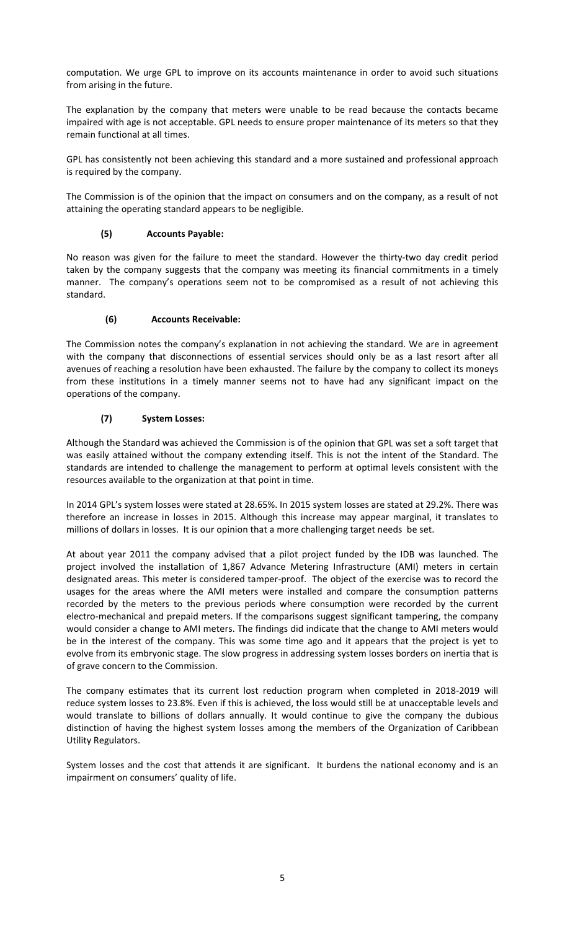computation. We urge GPL to improve on its accounts maintenance in order to avoid such situations from arising in the future.

The explanation by the company that meters were unable to be read because the contacts became impaired with age is not acceptable. GPL needs to ensure proper maintenance of its meters so that they remain functional at all times.

GPL has consistently not been achieving this standard and a more sustained and professional approach is required by the company.

The Commission is of the opinion that the impact on consumers and on the company, as a result of not attaining the operating standard appears to be negligible.

# **(5) Accounts Payable:**

No reason was given for the failure to meet the standard. However the thirty-two day credit period taken by the company suggests that the company was meeting its financial commitments in a timely manner. The company's operations seem not to be compromised as a result of not achieving this standard.

# **(6) Accounts Receivable:**

The Commission notes the company's explanation in not achieving the standard. We are in agreement with the company that disconnections of essential services should only be as a last resort after all avenues of reaching a resolution have been exhausted. The failure by the company to collect its moneys from these institutions in a timely manner seems not to have had any significant impact on the operations of the company.

# **(7) System Losses:**

Although the Standard was achieved the Commission is of the opinion that GPL was set a soft target that was easily attained without the company extending itself. This is not the intent of the Standard. The standards are intended to challenge the management to perform at optimal levels consistent with the resources available to the organization at that point in time.

In 2014 GPL's system losses were stated at 28.65%. In 2015 system losses are stated at 29.2%. There was therefore an increase in losses in 2015. Although this increase may appear marginal, it translates to millions of dollars in losses. It is our opinion that a more challenging target needs be set.

At about year 2011 the company advised that a pilot project funded by the IDB was launched. The project involved the installation of 1,867 Advance Metering Infrastructure (AMI) meters in certain designated areas. This meter is considered tamper‐proof. The object of the exercise was to record the usages for the areas where the AMI meters were installed and compare the consumption patterns recorded by the meters to the previous periods where consumption were recorded by the current electro-mechanical and prepaid meters. If the comparisons suggest significant tampering, the company would consider a change to AMI meters. The findings did indicate that the change to AMI meters would be in the interest of the company. This was some time ago and it appears that the project is yet to evolve from its embryonic stage. The slow progress in addressing system losses borders on inertia that is of grave concern to the Commission.

The company estimates that its current lost reduction program when completed in 2018-2019 will reduce system losses to 23.8%. Even if this is achieved, the loss would still be at unacceptable levels and would translate to billions of dollars annually. It would continue to give the company the dubious distinction of having the highest system losses among the members of the Organization of Caribbean Utility Regulators.

System losses and the cost that attends it are significant. It burdens the national economy and is an impairment on consumers' quality of life.